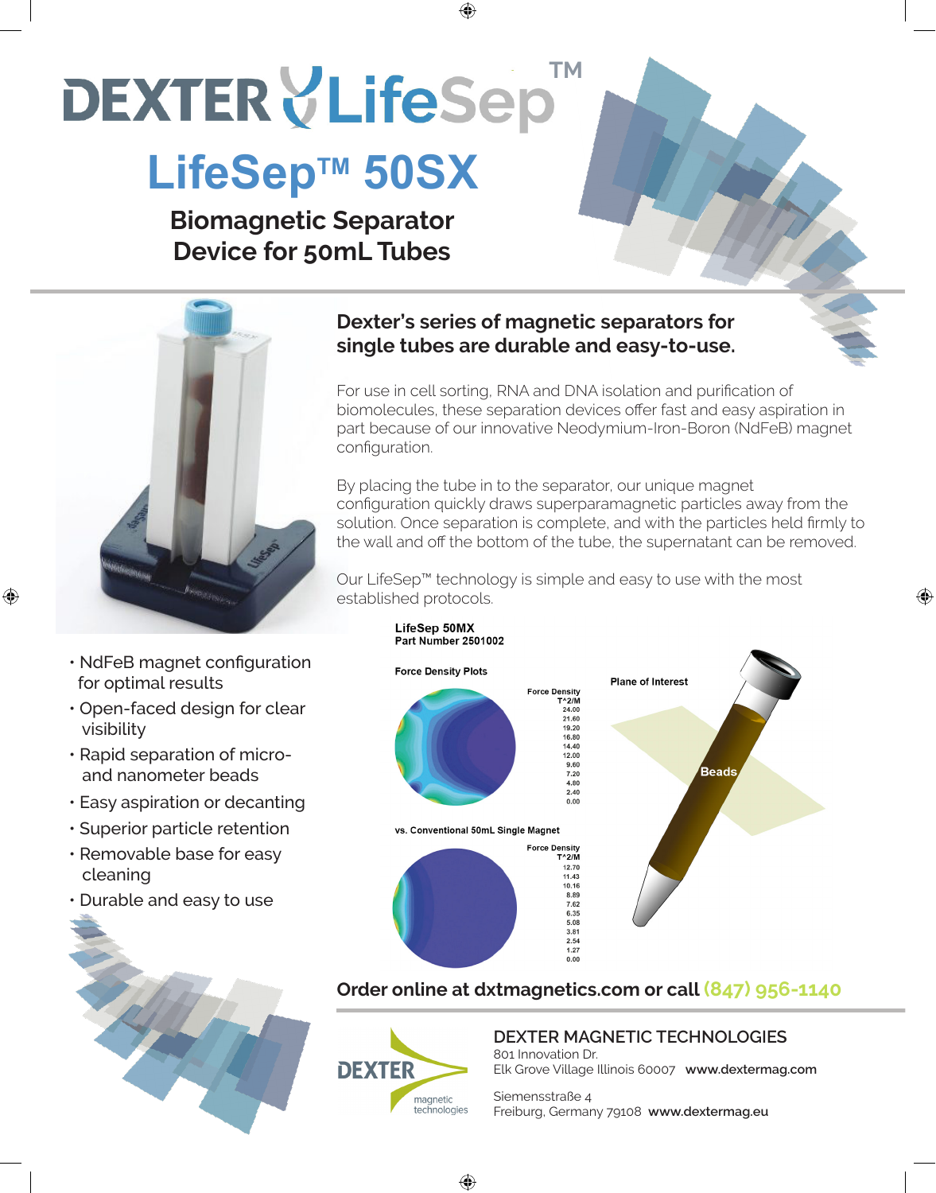# **DEXTER VLifeSep**

# LifeSep<sup>™</sup> 50SX

**Biomagnetic Separator Device for 50mL Tubes**



• NdFeB magnet configuration for optimal results

♠

- Open-faced design for clear visibility
- Rapid separation of micro and nanometer beads
- Easy aspiration or decanting
- Superior particle retention
- Removable base for easy cleaning
- Durable and easy to use



### **Dexter's series of magnetic separators for single tubes are durable and easy-to-use.**

♠



By placing the tube in to the separator, our unique magnet configuration quickly draws superparamagnetic particles away from the solution. Once separation is complete, and with the particles held firmly to the wall and off the bottom of the tube, the supernatant can be removed.

⊕

Our LifeSep™ technology is simple and easy to use with the most established protocols.



### **Order online at dxtmagnetics.com or call (847) 956-1140**



⊕

**DEXTER MAGNETIC TECHNOLOGIES**

801 Innovation Dr. Elk Grove Village Illinois 60007 **www.dextermag.com**

Siemensstraße 4 Freiburg, Germany 79108 **www.dextermag.eu**